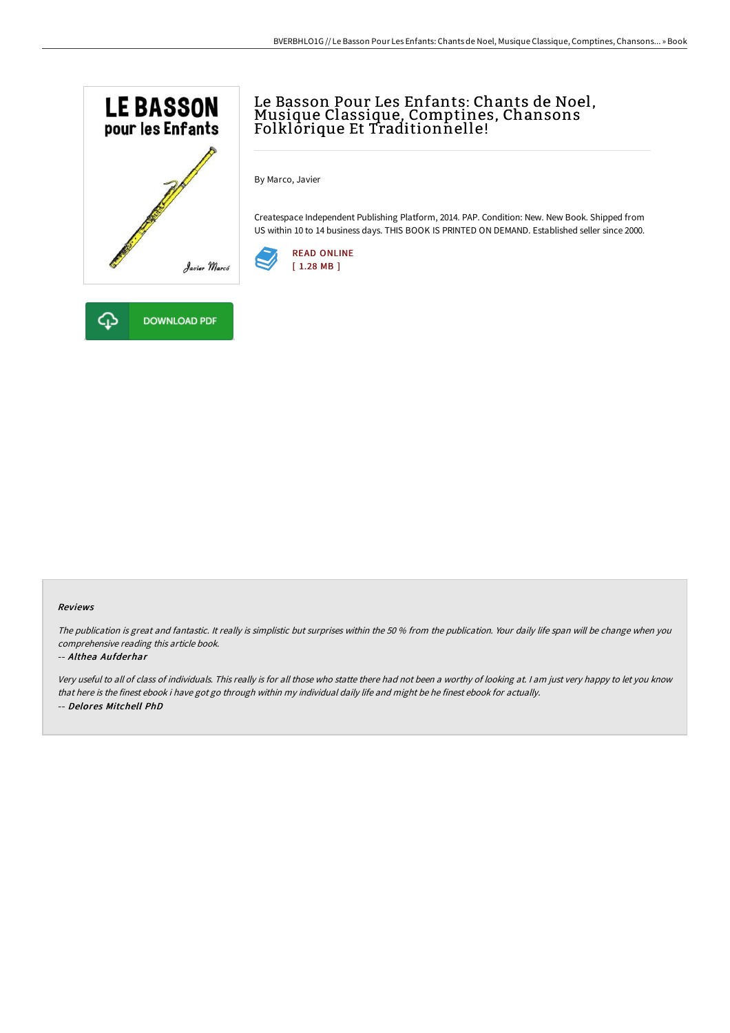

## Le Basson Pour Les Enfants: Chants de Noel,<br>Musique Classique, Comptines, Chansons Folklôrique Et Traditionnelle!

By Marco, Javier

Createspace Independent Publishing Platform, 2014. PAP. Condition: New. New Book. Shipped from US within 10 to 14 business days. THIS BOOK IS PRINTED ON DEMAND. Established seller since 2000.





The publication is great and fantastic. It really is simplistic but surprises within the <sup>50</sup> % from the publication. Your daily life span will be change when you comprehensive reading this article book.

## -- Althea Aufderhar

Very useful to all of class of individuals. This really is for all those who statte there had not been <sup>a</sup> worthy of looking at. <sup>I</sup> am just very happy to let you know that here is the finest ebook i have got go through within my individual daily life and might be he finest ebook for actually. -- Delores Mitchell PhD